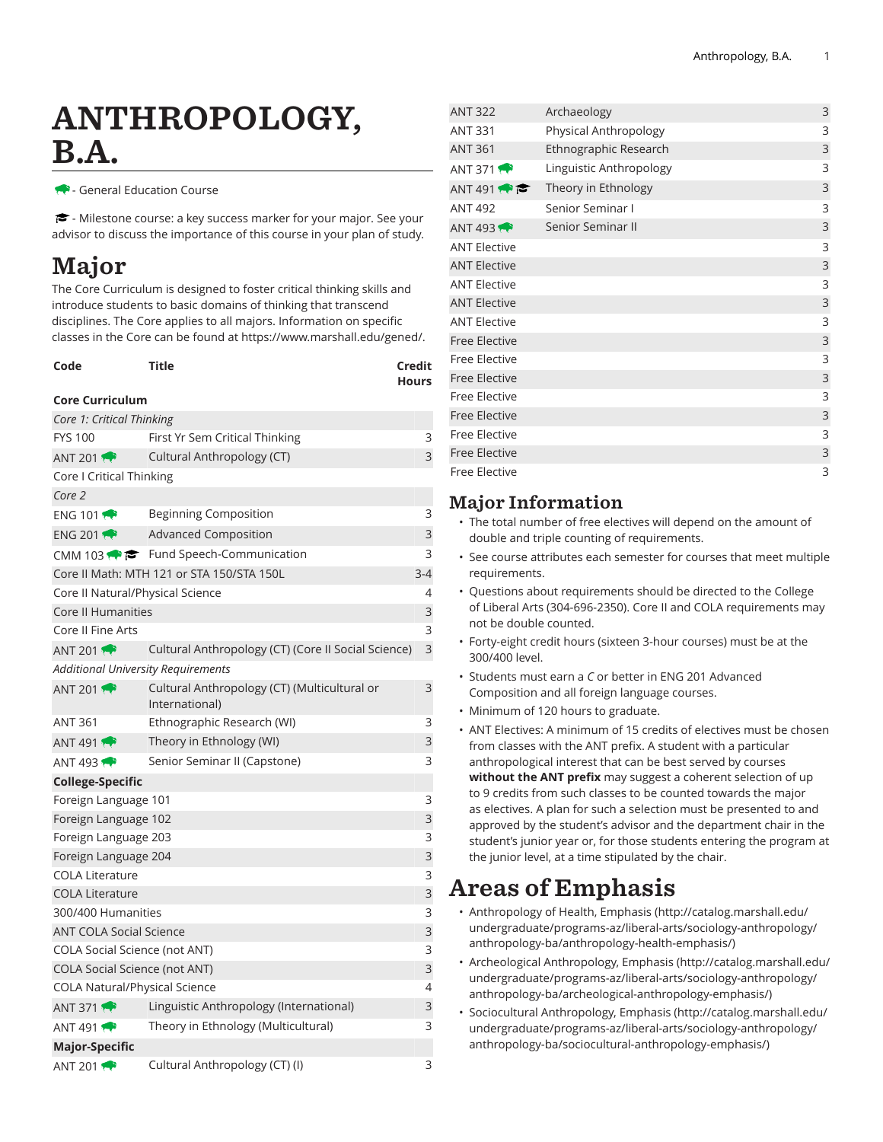# ANTHROPOLOGY, B.A.

**-** General Education Course

- Milestone course: a key success marker for your major. See your advisor to discuss the importance of this course in your plan of study.

## Major

The Core Curriculum is designed to foster critical thinking skills and introduce students to basic domains of thinking that transcend disciplines. The Core applies to all majors. Information on specific classes in the Core can be found at [https://www.marshall.edu/gened/.](https://www.marshall.edu/gened/)

| Code | Title | Credit       |
|------|-------|--------------|
|      |       | <b>Hours</b> |

#### **Core Curriculum**

| Core 1: Critical Thinking                 |                                                                |         |  |
|-------------------------------------------|----------------------------------------------------------------|---------|--|
| <b>FYS 100</b>                            | First Yr Sem Critical Thinking                                 | 3       |  |
| ANT 201 $\rightarrow$                     | Cultural Anthropology (CT)                                     | 3       |  |
| Core I Critical Thinking                  |                                                                |         |  |
| Core 2                                    |                                                                |         |  |
| <b>ENG 101</b>                            | <b>Beginning Composition</b>                                   | 3       |  |
| ENG 201                                   | <b>Advanced Composition</b>                                    | 3       |  |
|                                           | CMM 103 $\bullet \bullet$ Fund Speech-Communication            | 3       |  |
|                                           | Core II Math: MTH 121 or STA 150/STA 150L                      | $3 - 4$ |  |
| Core II Natural/Physical Science          |                                                                | 4       |  |
| <b>Core II Humanities</b>                 |                                                                | 3       |  |
| Core II Fine Arts                         |                                                                | 3       |  |
| ANT 201                                   | Cultural Anthropology (CT) (Core II Social Science)            | 3       |  |
| <b>Additional University Requirements</b> |                                                                |         |  |
| ANT 201                                   | Cultural Anthropology (CT) (Multicultural or<br>International) | 3       |  |
| <b>ANT 361</b>                            | Ethnographic Research (WI)                                     | 3       |  |
| ANT 491                                   | Theory in Ethnology (WI)                                       | 3       |  |
| ANT 493 $\rightarrow$                     | Senior Seminar II (Capstone)                                   | 3       |  |
| <b>College-Specific</b>                   |                                                                |         |  |
| Foreign Language 101                      |                                                                | 3       |  |
| Foreign Language 102                      |                                                                | 3       |  |
| Foreign Language 203                      |                                                                | 3       |  |
| Foreign Language 204                      |                                                                | 3       |  |
| <b>COLA Literature</b>                    |                                                                | 3       |  |
| <b>COLA Literature</b>                    |                                                                |         |  |
| 300/400 Humanities                        |                                                                | 3       |  |
| <b>ANT COLA Social Science</b>            |                                                                | 3       |  |
| COLA Social Science (not ANT)             |                                                                | 3       |  |
| <b>COLA Social Science (not ANT)</b>      |                                                                | 3       |  |
| COLA Natural/Physical Science             |                                                                | 4       |  |
| ANT 371                                   | Linguistic Anthropology (International)                        | 3       |  |
| ANT 491 $\bullet$                         | Theory in Ethnology (Multicultural)                            | 3       |  |
| <b>Major-Specific</b>                     |                                                                |         |  |
| ANT 201 $\rightarrow$                     | Cultural Anthropology (CT) (I)                                 | 3       |  |

| <b>ANT 322</b>       | Archaeology             | 3           |
|----------------------|-------------------------|-------------|
| <b>ANT 331</b>       | Physical Anthropology   | 3           |
| <b>ANT 361</b>       | Ethnographic Research   | 3           |
| ANT 371              | Linguistic Anthropology | 3           |
| ANT 491              | Theory in Ethnology     | 3           |
| <b>ANT 492</b>       | Senior Seminar I        | 3           |
| ANT 493              | Senior Seminar II       | 3           |
| <b>ANT Elective</b>  |                         | 3           |
| <b>ANT Elective</b>  |                         | $\mathsf 3$ |
| <b>ANT Elective</b>  |                         | 3           |
| <b>ANT Elective</b>  |                         | 3           |
| <b>ANT Elective</b>  |                         | 3           |
| <b>Free Elective</b> |                         | 3           |
| Free Elective        |                         | 3           |
| <b>Free Elective</b> |                         | 3           |
| Free Elective        |                         | 3           |
| Free Elective        |                         | 3           |
| <b>Free Elective</b> |                         | 3           |
| <b>Free Elective</b> |                         | 3           |
| <b>Free Elective</b> |                         | 3           |

### Major Information

- The total number of free electives will depend on the amount of double and triple counting of requirements.
- See course attributes each semester for courses that meet multiple requirements.
- Questions about requirements should be directed to the College of Liberal Arts (304-696-2350). Core II and COLA requirements may not be double counted.
- Forty-eight credit hours (sixteen 3-hour courses) must be at the 300/400 level.
- Students must earn a *C* or better in ENG 201 Advanced Composition and all foreign language courses.
- Minimum of 120 hours to graduate.
- ANT Electives: A minimum of 15 credits of electives must be chosen from classes with the ANT prefix. A student with a particular anthropological interest that can be best served by courses **without the ANT prefix** may suggest a coherent selection of up to 9 credits from such classes to be counted towards the major as electives. A plan for such a selection must be presented to and approved by the student's advisor and the department chair in the student's junior year or, for those students entering the program at the junior level, at a time stipulated by the chair.

## Areas of Emphasis

- [Anthropology](http://catalog.marshall.edu/undergraduate/programs-az/liberal-arts/sociology-anthropology/anthropology-ba/anthropology-health-emphasis/) of Health, Emphasis ([http://catalog.marshall.edu/](http://catalog.marshall.edu/undergraduate/programs-az/liberal-arts/sociology-anthropology/anthropology-ba/anthropology-health-emphasis/) [undergraduate/programs-az/liberal-arts/sociology-anthropology/](http://catalog.marshall.edu/undergraduate/programs-az/liberal-arts/sociology-anthropology/anthropology-ba/anthropology-health-emphasis/) [anthropology-ba/anthropology-health-emphasis/\)](http://catalog.marshall.edu/undergraduate/programs-az/liberal-arts/sociology-anthropology/anthropology-ba/anthropology-health-emphasis/)
- Archeological [Anthropology,](http://catalog.marshall.edu/undergraduate/programs-az/liberal-arts/sociology-anthropology/anthropology-ba/archeological-anthropology-emphasis/) Emphasis ([http://catalog.marshall.edu/](http://catalog.marshall.edu/undergraduate/programs-az/liberal-arts/sociology-anthropology/anthropology-ba/archeological-anthropology-emphasis/) [undergraduate/programs-az/liberal-arts/sociology-anthropology/](http://catalog.marshall.edu/undergraduate/programs-az/liberal-arts/sociology-anthropology/anthropology-ba/archeological-anthropology-emphasis/) [anthropology-ba/archeological-anthropology-emphasis/](http://catalog.marshall.edu/undergraduate/programs-az/liberal-arts/sociology-anthropology/anthropology-ba/archeological-anthropology-emphasis/))
- Sociocultural [Anthropology,](http://catalog.marshall.edu/undergraduate/programs-az/liberal-arts/sociology-anthropology/anthropology-ba/sociocultural-anthropology-emphasis/) Emphasis ([http://catalog.marshall.edu/](http://catalog.marshall.edu/undergraduate/programs-az/liberal-arts/sociology-anthropology/anthropology-ba/sociocultural-anthropology-emphasis/) [undergraduate/programs-az/liberal-arts/sociology-anthropology/](http://catalog.marshall.edu/undergraduate/programs-az/liberal-arts/sociology-anthropology/anthropology-ba/sociocultural-anthropology-emphasis/) [anthropology-ba/sociocultural-anthropology-emphasis/](http://catalog.marshall.edu/undergraduate/programs-az/liberal-arts/sociology-anthropology/anthropology-ba/sociocultural-anthropology-emphasis/))